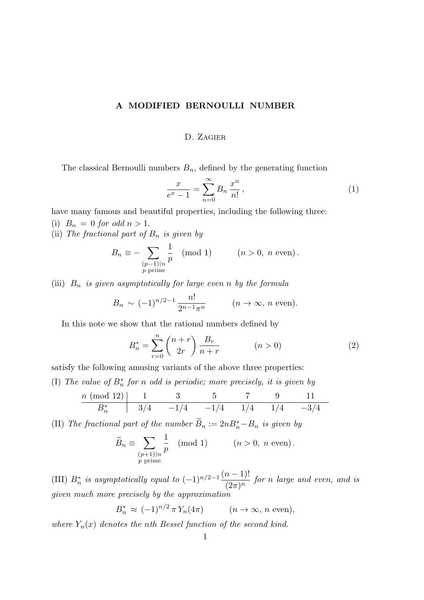## A MODIFIED BERNOULLI NUMBER

## D. Zagier

The classical Bernoulli numbers  $B_n$ , defined by the generating function

$$
\frac{x}{e^x - 1} = \sum_{n=0}^{\infty} B_n \frac{x^n}{n!},
$$
\n(1)

have many famous and beautiful properties, including the following three:

(i)  $B_n = 0$  for odd  $n > 1$ .

(ii) The fractional part of  $B_n$  is given by

$$
B_n \equiv -\sum_{\substack{(p-1)|n \ p \text{ prime}}} \frac{1}{p} \pmod{1} \qquad (n > 0, n \text{ even}).
$$

(iii)  $B_n$  is given asymptotically for large even n by the formula

$$
B_n \sim (-1)^{n/2-1} \frac{n!}{2^{n-1}\pi^n}
$$
  $(n \to \infty, n \text{ even}).$ 

In this note we show that the rational numbers defined by

$$
B_n^* = \sum_{r=0}^n \binom{n+r}{2r} \frac{B_r}{n+r} \qquad (n > 0)
$$
 (2)

satisfy the following amusing variants of the above three properties:

(I) The value of  $B_n^*$  for n odd is periodic; more precisely, it is given by

$$
\begin{array}{c|cccccc} n \ (\mathrm{mod} \ 12) & 1 & 3 & 5 & 7 & 9 & 11 \\ \hline B^*_n & 3/4 & -1/4 & -1/4 & 1/4 & 1/4 & -3/4 \end{array}
$$

(II) The fractional part of the number  $B_n := 2nB_n^* - B_n$  is given by

$$
\widetilde{B}_n \equiv \sum_{\substack{(p+1)|n \ p \text{ prime}}} \frac{1}{p} \pmod{1} \qquad (n > 0, n \text{ even}).
$$

(III)  $B_n^*$  is asymptotically equal to  $(-1)^{n/2-1} \frac{(n-1)!}{(2\pi)^n}$  $\frac{n(n+1)!}{(2\pi)^n}$  for n large and even, and is given much more precisely by the approximation

$$
B_n^* \approx (-1)^{n/2} \pi Y_n(4\pi) \qquad (n \to \infty, n \text{ even}),
$$

where  $Y_n(x)$  denotes the nth Bessel function of the second kind.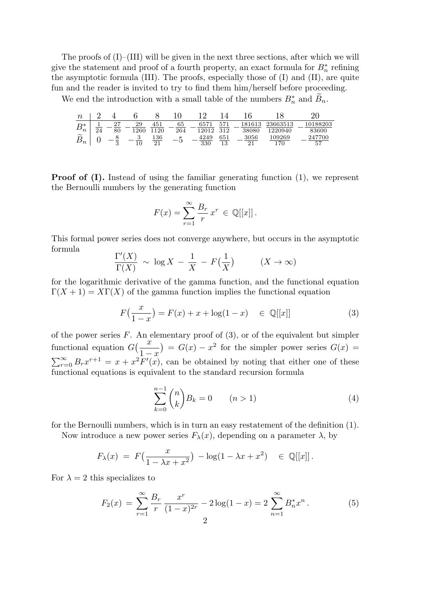The proofs of  $(I)$ – $(III)$  will be given in the next three sections, after which we will give the statement and proof of a fourth property, an exact formula for  $B_n^*$  refining the asymptotic formula (III). The proofs, especially those of (I) and (II), are quite fun and the reader is invited to try to find them him/herself before proceeding.

We end the introduction with a small table of the numbers  $B_n^*$  and  $\tilde{B}_n$ .

| $\, n \,$         |    |               |            |            |           |             |                 |                 |                     |                   |
|-------------------|----|---------------|------------|------------|-----------|-------------|-----------------|-----------------|---------------------|-------------------|
| D*<br>$\nu_n$     | 24 | 97<br>"<br>80 | 29<br>126C | 451<br>120 | 65<br>264 | 6571        | K71<br>312      | 181613<br>38080 | 23663513<br>1220940 | 10188203<br>83600 |
| $\sim$<br>$\nu_n$ |    | υ             |            | 136<br>21  |           | 4249<br>330 | 651<br>12<br>ΙU | 3056            | 109269<br>.70       | 247700<br>57      |

**Proof of (I).** Instead of using the familiar generating function (1), we represent the Bernoulli numbers by the generating function

$$
F(x) = \sum_{r=1}^{\infty} \frac{B_r}{r} x^r \in \mathbb{Q}[[x]].
$$

This formal power series does not converge anywhere, but occurs in the asymptotic formula

$$
\frac{\Gamma'(X)}{\Gamma(X)} \sim \log X - \frac{1}{X} - F(\frac{1}{X}) \qquad (X \to \infty)
$$

for the logarithmic derivative of the gamma function, and the functional equation  $\Gamma(X+1) = X\Gamma(X)$  of the gamma function implies the functional equation

$$
F(\frac{x}{1-x}) = F(x) + x + \log(1-x) \in \mathbb{Q}[[x]]
$$
 (3)

of the power series  $F$ . An elementary proof of  $(3)$ , or of the equivalent but simpler functional equation  $G\left(\frac{x}{1}\right)$  $\frac{1-x}{\Gamma}$  $= G(x) - x^2$  for the simpler power series  $G(x) =$  $\sum_{r=0}^{\infty} B_r x^{r+1} = x + x^2 \overline{F'(x)}$ , can be obtained by noting that either one of these  $\frac{1}{2}$  functional equations is equivalent to the standard recursion formula

$$
\sum_{k=0}^{n-1} \binom{n}{k} B_k = 0 \qquad (n > 1)
$$
 (4)

for the Bernoulli numbers, which is in turn an easy restatement of the definition (1).

Now introduce a new power series  $F_{\lambda}(x)$ , depending on a parameter  $\lambda$ , by

$$
F_{\lambda}(x) = F(\frac{x}{1 - \lambda x + x^2}) - \log(1 - \lambda x + x^2) \in \mathbb{Q}[[x]].
$$

For  $\lambda = 2$  this specializes to

$$
F_2(x) = \sum_{r=1}^{\infty} \frac{B_r}{r} \frac{x^r}{(1-x)^{2r}} - 2\log(1-x) = 2\sum_{n=1}^{\infty} B_n^* x^n.
$$
 (5)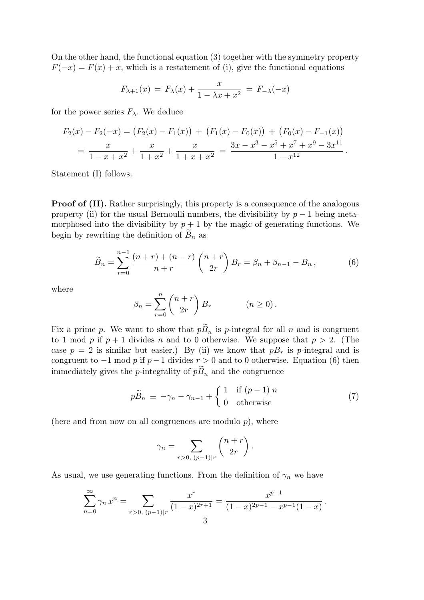On the other hand, the functional equation (3) together with the symmetry property  $F(-x) = F(x) + x$ , which is a restatement of (i), give the functional equations

$$
F_{\lambda+1}(x) = F_{\lambda}(x) + \frac{x}{1 - \lambda x + x^2} = F_{-\lambda}(-x)
$$

for the power series  $F_{\lambda}$ . We deduce

$$
F_2(x) - F_2(-x) = (F_2(x) - F_1(x)) + (F_1(x) - F_0(x)) + (F_0(x) - F_{-1}(x))
$$
  
= 
$$
\frac{x}{1 - x + x^2} + \frac{x}{1 + x^2} + \frac{x}{1 + x + x^2} = \frac{3x - x^3 - x^5 + x^7 + x^9 - 3x^{11}}{1 - x^{12}}.
$$

Statement (I) follows.

**Proof of (II).** Rather surprisingly, this property is a consequence of the analogous property (ii) for the usual Bernoulli numbers, the divisibility by  $p-1$  being metamorphosed into the divisibility by  $p + 1$  by the magic of generating functions. We begin by rewriting the definition of  $B_n$  as

$$
\widetilde{B}_n = \sum_{r=0}^{n-1} \frac{(n+r) + (n-r)}{n+r} \binom{n+r}{2r} B_r = \beta_n + \beta_{n-1} - B_n, \tag{6}
$$

where

$$
\beta_n = \sum_{r=0}^n \binom{n+r}{2r} B_r \qquad (n \ge 0).
$$

Fix a prime p. We want to show that  $p\widetilde{B}_n$  is p-integral for all n and is congruent to 1 mod p if  $p + 1$  divides n and to 0 otherwise. We suppose that  $p > 2$ . (The case  $p = 2$  is similar but easier.) By (ii) we know that  $pB_r$  is p-integral and is congruent to  $-1$  mod p if  $p-1$  divides  $r > 0$  and to 0 otherwise. Equation (6) then immediately gives the *p*-integrality of  $p\widetilde{B}_n$  and the congruence

$$
p\widetilde{B}_n \equiv -\gamma_n - \gamma_{n-1} + \begin{cases} 1 & \text{if } (p-1)|n \\ 0 & \text{otherwise} \end{cases}
$$
 (7)

.

(here and from now on all congruences are modulo  $p$ ), where

$$
\gamma_n = \sum_{r>0, (p-1)|r} \binom{n+r}{2r}.
$$

As usual, we use generating functions. From the definition of  $\gamma_n$  we have

$$
\sum_{n=0}^{\infty} \gamma_n x^n = \sum_{r>0, (p-1)|r} \frac{x^r}{(1-x)^{2r+1}} = \frac{x^{p-1}}{(1-x)^{2p-1} - x^{p-1}(1-x)}
$$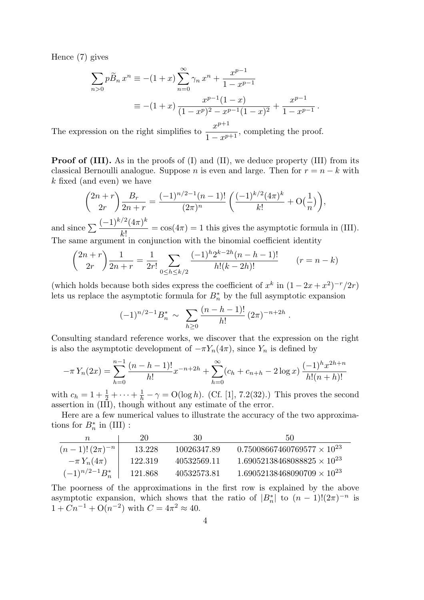Hence (7) gives

$$
\sum_{n>0} p\widetilde{B}_n x^n \equiv -(1+x) \sum_{n=0}^{\infty} \gamma_n x^n + \frac{x^{p-1}}{1-x^{p-1}}
$$
  

$$
\equiv -(1+x) \frac{x^{p-1}(1-x)}{(1-x^p)^2 - x^{p-1}(1-x)^2} + \frac{x^{p-1}}{1-x^{p-1}}.
$$

The expression on the right simplifies to  $\frac{x^{p+1}}{1-x^p}$  $1 - x$  $\frac{p+1}{p+1}$ , completing the proof.

**Proof of (III).** As in the proofs of (I) and (II), we deduce property (III) from its classical Bernoulli analogue. Suppose *n* is even and large. Then for  $r = n - k$  with k fixed (and even) we have

$$
\binom{2n+r}{2r} \frac{B_r}{2n+r} = \frac{(-1)^{n/2-1}(n-1)!}{(2\pi)^n} \left( \frac{(-1)^{k/2}(4\pi)^k}{k!} + O\left(\frac{1}{n}\right) \right),
$$
  

$$
(-1)^{k/2}(4\pi)^k
$$

and since  $\sum \frac{(-1)^{k/2} (4\pi)^k}{k}$  $k!$  $= cos(4\pi) = 1$  this gives the asymptotic formula in (III). The same argument in conjunction with the binomial coefficient identity

$$
\binom{2n+r}{2r} \frac{1}{2n+r} = \frac{1}{2r!} \sum_{0 \le h \le k/2} \frac{(-1)^h 2^{k-2h} (n-h-1)!}{h!(k-2h)!} \qquad (r=n-k)
$$

(which holds because both sides express the coefficient of  $x^k$  in  $(1-2x+x^2)^{-r}/2r$ ) lets us replace the asymptotic formula for  $B_n^*$  by the full asymptotic expansion

$$
(-1)^{n/2-1}B_n^* \sim \sum_{h\geq 0} \frac{(n-h-1)!}{h!} (2\pi)^{-n+2h}.
$$

Consulting standard reference works, we discover that the expression on the right is also the asymptotic development of  $-\pi Y_n(4\pi)$ , since  $Y_n$  is defined by

$$
-\pi Y_n(2x) = \sum_{h=0}^{n-1} \frac{(n-h-1)!}{h!} x^{-n+2h} + \sum_{h=0}^{\infty} (c_h + c_{n+h} - 2\log x) \frac{(-1)^h x^{2h+h}}{h!(n+h)!}
$$

with  $c_h = 1 + \frac{1}{2} + \cdots + \frac{1}{h} - \gamma = O(\log h)$ . (Cf. [1], 7.2(32).) This proves the second assertion in (III), though without any estimate of the error.

Here are a few numerical values to illustrate the accuracy of the two approximations for  $B_n^*$  in (III) :

| $\,n$               | 20      | 30          | 50                                   |
|---------------------|---------|-------------|--------------------------------------|
| $(n-1)!(2\pi)^{-n}$ | 13.228  | 10026347.89 | $0.75008667460769577 \times 10^{23}$ |
| $-\pi Y_n(4\pi)$    | 122.319 | 40532569.11 | $1.69052138468088825 \times 10^{23}$ |
| $(-1)^{n/2-1}B_n^*$ | 121.868 | 40532573.81 | $1.69052138468090709 \times 10^{23}$ |

The poorness of the approximations in the first row is explained by the above asymptotic expansion, which shows that the ratio of  $|B_n^*|$  to  $(n-1)!(2\pi)^{-n}$  is  $1 + Cn^{-1} + O(n^{-2})$  with  $C = 4\pi^2 \approx 40$ .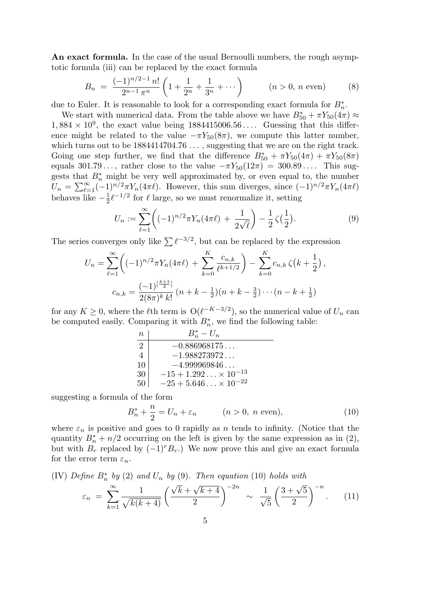An exact formula. In the case of the usual Bernoulli numbers, the rough asymptotic formula (iii) can be replaced by the exact formula

$$
B_n = \frac{(-1)^{n/2 - 1} n!}{2^{n-1} \pi^n} \left( 1 + \frac{1}{2^n} + \frac{1}{3^n} + \dots \right) \qquad (n > 0, n \text{ even}) \qquad (8)
$$

due to Euler. It is reasonable to look for a corresponding exact formula for  $B_n^*$ .

We start with numerical data. From the table above we have  $B_{50}^* + \pi Y_{50}(4\pi) \approx$  $1,884 \times 10^9$ , the exact value being  $1884415006.56...$  Guessing that this difference might be related to the value  $-\pi Y_{50}(8\pi)$ , we compute this latter number, which turns out to be  $1884414704.76...$ , suggesting that we are on the right track. Going one step further, we find that the difference  $B_{50}^* + \pi Y_{50}(4\pi) + \pi Y_{50}(8\pi)$ equals  $301.79\dots$ , rather close to the value  $-\pi Y_{50}(12\pi) = 300.89\dots$ . This suggests that  $B_n^*$  might be very well approximated by, or even equal to, the number  $U_n = \sum_{\ell=1}^{\infty} (-1)^{n/2} \pi Y_n(4\pi \ell)$ . However, this sum diverges, since  $(-1)^{n/2} \pi Y_n(4\pi \ell)$ behaves like  $-\frac{1}{2}$  $\frac{1}{2}\ell^{-1/2}$  for  $\ell$  large, so we must renormalize it, setting

$$
U_n := \sum_{\ell=1}^{\infty} \left( (-1)^{n/2} \pi Y_n(4\pi \ell) + \frac{1}{2\sqrt{\ell}} \right) - \frac{1}{2} \zeta\left(\frac{1}{2}\right). \tag{9}
$$

The series converges only like  $\sum \ell^{-3/2}$ , but can be replaced by the expression

$$
U_n = \sum_{\ell=1}^{\infty} \left( (-1)^{n/2} \pi Y_n(4\pi \ell) + \sum_{k=0}^{K} \frac{c_{n,k}}{\ell^{k+1/2}} \right) - \sum_{k=0}^{K} c_{n,k} \zeta(k + \frac{1}{2}),
$$
  

$$
c_{n,k} = \frac{(-1)^{\left[\frac{k+1}{2}\right]}}{2(8\pi)^k k!} (n + k - \frac{1}{2})(n + k - \frac{3}{2}) \cdots (n - k + \frac{1}{2})
$$

for any  $K \geq 0$ , where the  $\ell$ th term is  $O(\ell^{-K-3/2})$ , so the numerical value of  $U_n$  can be computed easily. Comparing it with  $B_n^*$ , we find the following table:

| n  | $B_n^* - U_n$   |
|----|-----------------|
| 2  | -0.886968175... |
| 4  | -1.988273972... |
| 10 | -4.999969846... |
| 30 | -15 + 1.292...  |
| 50 | -25 + 5.646...  |

suggesting a formula of the form

$$
B_n^* + \frac{n}{2} = U_n + \varepsilon_n \qquad (n > 0, \ n \text{ even}), \tag{10}
$$

where  $\varepsilon_n$  is positive and goes to 0 rapidly as n tends to infinity. (Notice that the quantity  $B_n^* + n/2$  occurring on the left is given by the same expression as in (2), but with  $B_r$  replaced by  $(-1)^r B_r$ .) We now prove this and give an exact formula for the error term  $\varepsilon_n$ .

(IV) Define  $B_n^*$  by (2) and  $U_n$  by (9). Then equation (10) holds with

$$
\varepsilon_n = \sum_{k=1}^{\infty} \frac{1}{\sqrt{k(k+4)}} \left( \frac{\sqrt{k} + \sqrt{k+4}}{2} \right)^{-2n} \sim \frac{1}{\sqrt{5}} \left( \frac{3 + \sqrt{5}}{2} \right)^{-n} . \tag{11}
$$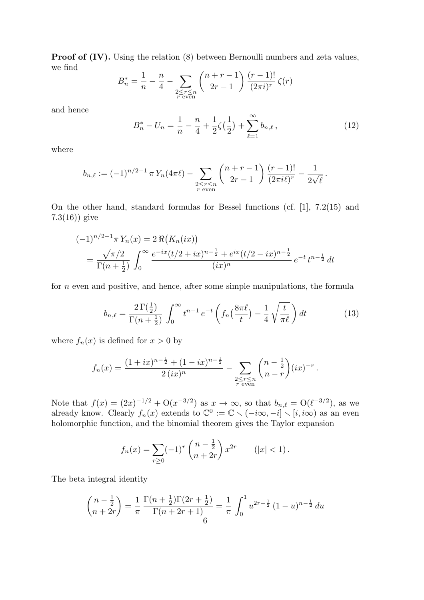**Proof of (IV).** Using the relation (8) between Bernoulli numbers and zeta values, we find

$$
B_n^* = \frac{1}{n} - \frac{n}{4} - \sum_{\substack{2 \le r \le n \\ r \text{ even}}} {n+r-1 \choose 2r-1} \frac{(r-1)!}{(2\pi i)^r} \zeta(r)
$$

and hence

$$
B_n^* - U_n = \frac{1}{n} - \frac{n}{4} + \frac{1}{2}\zeta(\frac{1}{2}) + \sum_{\ell=1}^{\infty} b_{n,\ell},
$$
\n(12)

.

where

$$
b_{n,\ell} := (-1)^{n/2-1} \pi Y_n(4\pi \ell) - \sum_{\substack{2 \le r \le n \\ r \text{ even}}} {n+r-1 \choose 2r-1} \frac{(r-1)!}{(2\pi i \ell)^r} - \frac{1}{2\sqrt{\ell}}
$$

On the other hand, standard formulas for Bessel functions (cf. [1], 7.2(15) and 7.3(16)) give

$$
(-1)^{n/2-1}\pi Y_n(x) = 2\Re\big(K_n(ix)\big)
$$
  
=  $\frac{\sqrt{\pi/2}}{\Gamma(n+\frac{1}{2})}\int_0^\infty \frac{e^{-ix}(t/2+ix)^{n-\frac{1}{2}}+e^{ix}(t/2-ix)^{n-\frac{1}{2}}}{(ix)^n}e^{-t}t^{n-\frac{1}{2}}dt$ 

for n even and positive, and hence, after some simple manipulations, the formula

$$
b_{n,\ell} = \frac{2\,\Gamma\left(\frac{1}{2}\right)}{\Gamma\left(n+\frac{1}{2}\right)} \int_0^\infty t^{n-1} \, e^{-t} \left(f_n\left(\frac{8\pi\ell}{t}\right) - \frac{1}{4} \sqrt{\frac{t}{\pi\ell}}\right) dt \tag{13}
$$

where  $f_n(x)$  is defined for  $x > 0$  by

$$
f_n(x) = \frac{(1+ix)^{n-\frac{1}{2}} + (1-ix)^{n-\frac{1}{2}}}{2(ix)^n} - \sum_{\substack{2 \le r \le n \\ r \text{ even}}} {n-\frac{1}{2} \choose n-r} (ix)^{-r}.
$$

Note that  $f(x) = (2x)^{-1/2} + O(x^{-3/2})$  as  $x \to \infty$ , so that  $b_{n,\ell} = O(\ell^{-3/2})$ , as we already know. Clearly  $f_n(x)$  extends to  $\mathbb{C}^0 := \mathbb{C} \setminus (-i\infty, -i] \setminus [i, i\infty)$  as an even holomorphic function, and the binomial theorem gives the Taylor expansion

$$
f_n(x) = \sum_{r \ge 0} (-1)^r \binom{n - \frac{1}{2}}{n + 2r} x^{2r} \qquad (|x| < 1).
$$

The beta integral identity

$$
\binom{n-\frac{1}{2}}{n+2r} = \frac{1}{\pi} \frac{\Gamma(n+\frac{1}{2})\Gamma(2r+\frac{1}{2})}{\Gamma(n+2r+1)} = \frac{1}{\pi} \int_0^1 u^{2r-\frac{1}{2}} (1-u)^{n-\frac{1}{2}} du
$$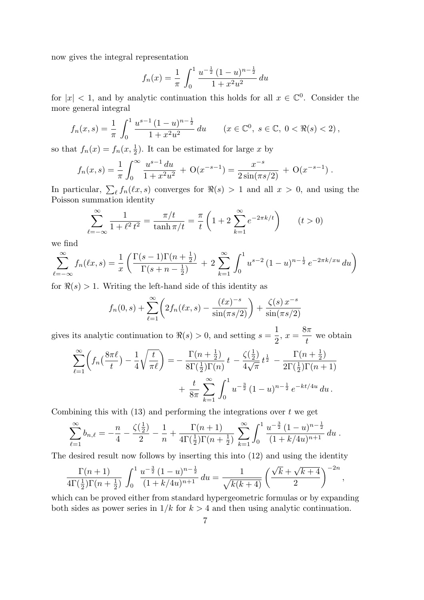now gives the integral representation

$$
f_n(x) = \frac{1}{\pi} \int_0^1 \frac{u^{-\frac{1}{2}} (1 - u)^{n - \frac{1}{2}}}{1 + x^2 u^2} du
$$

for  $|x| < 1$ , and by analytic continuation this holds for all  $x \in \mathbb{C}^0$ . Consider the more general integral

$$
f_n(x,s) = \frac{1}{\pi} \int_0^1 \frac{u^{s-1}(1-u)^{n-\frac{1}{2}}}{1+x^2u^2} du \qquad (x \in \mathbb{C}^0, \ s \in \mathbb{C}, \ 0 < \Re(s) < 2),
$$

so that  $f_n(x) = f_n(x, \frac{1}{2})$ . It can be estimated for large x by

$$
f_n(x,s) = \frac{1}{\pi} \int_0^\infty \frac{u^{s-1} du}{1 + x^2 u^2} + \mathcal{O}(x^{-s-1}) = \frac{x^{-s}}{2 \sin(\pi s/2)} + \mathcal{O}(x^{-s-1}).
$$

In particular,  $\sum_{\ell} f_n(\ell x, s)$  converges for  $\Re(s) > 1$  and all  $x > 0$ , and using the Poisson summation identity

$$
\sum_{\ell=-\infty}^{\infty} \frac{1}{1+\ell^2 t^2} = \frac{\pi/t}{\tanh \pi/t} = \frac{\pi}{t} \left( 1 + 2 \sum_{k=1}^{\infty} e^{-2\pi k/t} \right) \qquad (t > 0)
$$

we find

$$
\sum_{\ell=-\infty}^{\infty} f_n(\ell x, s) = \frac{1}{x} \left( \frac{\Gamma(s-1)\Gamma(n+\frac{1}{2})}{\Gamma(s+n-\frac{1}{2})} + 2 \sum_{k=1}^{\infty} \int_0^1 u^{s-2} (1-u)^{n-\frac{1}{2}} e^{-2\pi k/xu} du \right)
$$

for  $\Re(s) > 1$ . Writing the left-hand side of this identity as

$$
f_n(0,s)
$$
 +  $\sum_{\ell=1}^{\infty} \left( 2f_n(\ell x,s) - \frac{(\ell x)^{-s}}{\sin(\pi s/2)} \right) + \frac{\zeta(s) x^{-s}}{\sin(\pi s/2)}$ 

gives its analytic continuation to  $\Re(s) > 0$ , and setting  $s =$ 1 2  $, x =$  $8\pi$ t we obtain

$$
\sum_{\ell=1}^{\infty} \left( f_n \left( \frac{8\pi\ell}{t} \right) - \frac{1}{4} \sqrt{\frac{t}{\pi\ell}} \right) = -\frac{\Gamma(n+\frac{1}{2})}{8\Gamma(\frac{1}{2})\Gamma(n)} t - \frac{\zeta(\frac{1}{2})}{4\sqrt{\pi}} t^{\frac{1}{2}} - \frac{\Gamma(n+\frac{1}{2})}{2\Gamma(\frac{1}{2})\Gamma(n+1)} + \frac{t}{8\pi} \sum_{k=1}^{\infty} \int_0^1 u^{-\frac{3}{2}} (1-u)^{n-\frac{1}{2}} e^{-kt/4u} du.
$$

Combining this with  $(13)$  and performing the integrations over t we get

$$
\sum_{\ell=1}^{\infty} b_{n,\ell} = -\frac{n}{4} - \frac{\zeta(\frac{1}{2})}{2} - \frac{1}{n} + \frac{\Gamma(n+1)}{4\Gamma(\frac{1}{2})\Gamma(n+\frac{1}{2})} \sum_{k=1}^{\infty} \int_0^1 \frac{u^{-\frac{3}{2}} (1-u)^{n-\frac{1}{2}}}{(1+k/4u)^{n+1}} du.
$$

The desired result now follows by inserting this into (12) and using the identity

$$
\frac{\Gamma(n+1)}{4\Gamma(\frac{1}{2})\Gamma(n+\frac{1}{2})}\int_0^1\frac{u^{-\frac{3}{2}}(1-u)^{n-\frac{1}{2}}}{(1+k/4u)^{n+1}}\,du=\frac{1}{\sqrt{k(k+4)}}\left(\frac{\sqrt{k}+\sqrt{k+4}}{2}\right)^{-2n},
$$

which can be proved either from standard hypergeometric formulas or by expanding both sides as power series in  $1/k$  for  $k > 4$  and then using analytic continuation.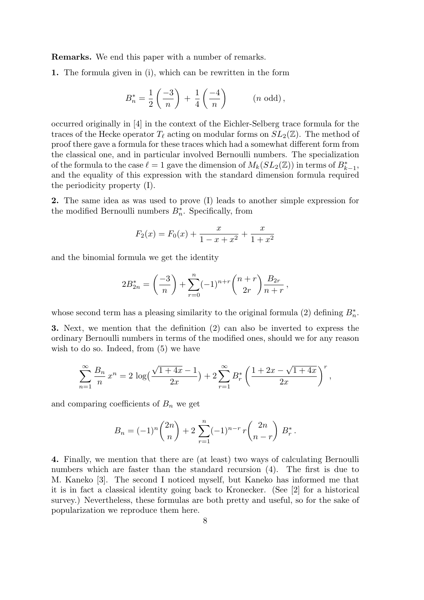Remarks. We end this paper with a number of remarks.

1. The formula given in (i), which can be rewritten in the form

$$
B_n^* = \frac{1}{2} \left( \frac{-3}{n} \right) + \frac{1}{4} \left( \frac{-4}{n} \right) \qquad (n \text{ odd}),
$$

occurred originally in [4] in the context of the Eichler-Selberg trace formula for the traces of the Hecke operator  $T_{\ell}$  acting on modular forms on  $SL_2(\mathbb{Z})$ . The method of proof there gave a formula for these traces which had a somewhat different form from the classical one, and in particular involved Bernoulli numbers. The specialization of the formula to the case  $\ell = 1$  gave the dimension of  $M_k(SL_2(\mathbb{Z}))$  in terms of  $B_{k-1}^*$ , and the equality of this expression with the standard dimension formula required the periodicity property (I).

2. The same idea as was used to prove (I) leads to another simple expression for the modified Bernoulli numbers  $B_n^*$ . Specifically, from

$$
F_2(x) = F_0(x) + \frac{x}{1 - x + x^2} + \frac{x}{1 + x^2}
$$

and the binomial formula we get the identity

$$
2B_{2n}^* = \left(\frac{-3}{n}\right) + \sum_{r=0}^n (-1)^{n+r} \binom{n+r}{2r} \frac{B_{2r}}{n+r},
$$

whose second term has a pleasing similarity to the original formula (2) defining  $B_n^*$ .

3. Next, we mention that the definition (2) can also be inverted to express the ordinary Bernoulli numbers in terms of the modified ones, should we for any reason wish to do so. Indeed, from  $(5)$  we have

$$
\sum_{n=1}^{\infty} \frac{B_n}{n} x^n = 2 \log \left( \frac{\sqrt{1+4x}-1}{2x} \right) + 2 \sum_{r=1}^{\infty} B_r^* \left( \frac{1+2x-\sqrt{1+4x}}{2x} \right)^r,
$$

and comparing coefficients of  $B_n$  we get

$$
B_n = (-1)^n \binom{2n}{n} + 2 \sum_{r=1}^n (-1)^{n-r} r \binom{2n}{n-r} B_r^*.
$$

4. Finally, we mention that there are (at least) two ways of calculating Bernoulli numbers which are faster than the standard recursion (4). The first is due to M. Kaneko [3]. The second I noticed myself, but Kaneko has informed me that it is in fact a classical identity going back to Kronecker. (See [2] for a historical survey.) Nevertheless, these formulas are both pretty and useful, so for the sake of popularization we reproduce them here.